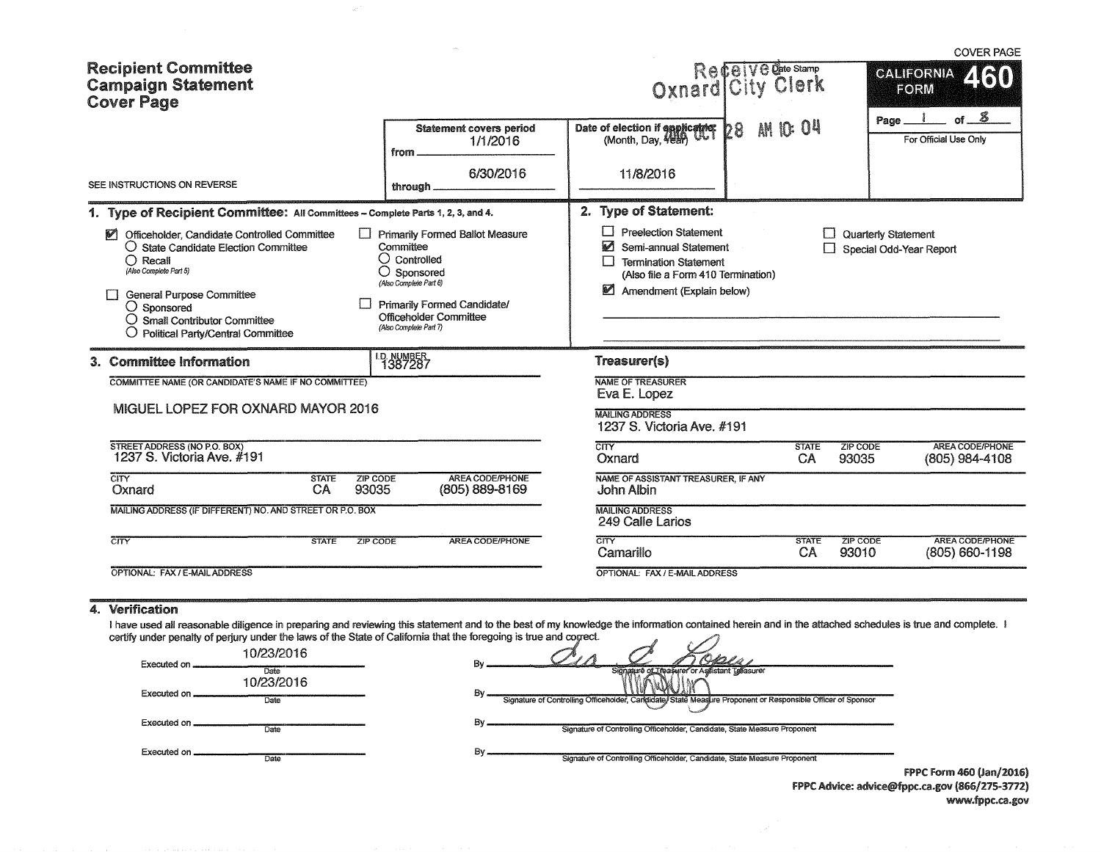|                                                                                                                                                                                                                                                                                                                                                                                                                                           |                                                                                                                                                                                                          |                                                                                                                                                                         |                                         | <b>COVER PAGE</b>                              |
|-------------------------------------------------------------------------------------------------------------------------------------------------------------------------------------------------------------------------------------------------------------------------------------------------------------------------------------------------------------------------------------------------------------------------------------------|----------------------------------------------------------------------------------------------------------------------------------------------------------------------------------------------------------|-------------------------------------------------------------------------------------------------------------------------------------------------------------------------|-----------------------------------------|------------------------------------------------|
| <b>Recipient Committee</b><br><b>Campaign Statement</b><br><b>Cover Page</b>                                                                                                                                                                                                                                                                                                                                                              |                                                                                                                                                                                                          | Received a Stamp                                                                                                                                                        |                                         | <b>CALIFORNIA</b><br>FORM                      |
|                                                                                                                                                                                                                                                                                                                                                                                                                                           | <b>Statement covers period</b><br>1/1/2016<br>from<br>6/30/2016                                                                                                                                          | Date of election if application<br>P8.<br>11/8/2016                                                                                                                     | <b>AM 10: 04</b>                        | S<br>of<br>Page<br>For Official Use Only       |
| SEE INSTRUCTIONS ON REVERSE                                                                                                                                                                                                                                                                                                                                                                                                               | through.                                                                                                                                                                                                 |                                                                                                                                                                         |                                         |                                                |
| 1. Type of Recipient Committee: All Committees - Complete Parts 1, 2, 3, and 4.                                                                                                                                                                                                                                                                                                                                                           |                                                                                                                                                                                                          | 2. Type of Statement:                                                                                                                                                   |                                         |                                                |
| Officeholder, Candidate Controlled Committee<br>M<br>$\bigcirc$ State Candidate Election Committee<br>$\bigcap$ Recall<br>(Also Complete Part 5)<br><b>General Purpose Committee</b><br>$\bigcirc$ Sponsored<br>$\bigcirc$ Small Contributor Committee<br>O Political Party/Central Committee                                                                                                                                             | Primarily Formed Ballot Measure<br>Committee<br>○ Controlled<br>$\bigcirc$ Sponsored<br>(Also Complete Part 6)<br>Primarily Formed Candidate/<br><b>Officeholder Committee</b><br>(Also Complete Part 7) | <b>Preelection Statement</b><br>Ø<br>Semi-annual Statement<br><b>Termination Statement</b><br>$\Box$<br>(Also file a Form 410 Termination)<br>Amendment (Explain below) |                                         | Quarterly Statement<br>Special Odd-Year Report |
| 3. Committee Information                                                                                                                                                                                                                                                                                                                                                                                                                  | <b>I.D. NUMBER</b><br>1387287                                                                                                                                                                            | Treasurer(s)                                                                                                                                                            |                                         |                                                |
| COMMITTEE NAME (OR CANDIDATE'S NAME IF NO COMMITTEE)<br>MIGUEL LOPEZ FOR OXNARD MAYOR 2016<br>STREET ADDRESS (NO P.O. BOX)                                                                                                                                                                                                                                                                                                                |                                                                                                                                                                                                          | NAME OF TREASURER<br>Eva E. Lopez<br><b>MAILING ADDRESS</b><br>1237 S. Victoria Ave. #191<br>CTY                                                                        | <b>ZIP CODE</b><br><b>STATE</b>         | <b>AREA CODE/PHONE</b>                         |
| 1237 S. Victoria Ave. #191                                                                                                                                                                                                                                                                                                                                                                                                                |                                                                                                                                                                                                          | Oxnard                                                                                                                                                                  | 93035<br>CA.                            | (805) 984-4108                                 |
| CITY<br><b>STATE</b><br>Oxnard<br><b>CA</b>                                                                                                                                                                                                                                                                                                                                                                                               | AREA CODE/PHONE<br><b>ZIP CODE</b><br>(805) 889-8169<br>93035                                                                                                                                            | NAME OF ASSISTANT TREASURER, IF ANY<br><b>John Albin</b>                                                                                                                |                                         |                                                |
| MAILING ADDRESS (IF DIFFERENT) NO. AND STREET OR P.O. BOX                                                                                                                                                                                                                                                                                                                                                                                 |                                                                                                                                                                                                          | <b>MAILING ADDRESS</b><br>249 Calle Larios                                                                                                                              |                                         |                                                |
| $\overline{\text{CITY}}$<br><b>STATE</b>                                                                                                                                                                                                                                                                                                                                                                                                  | AREA CODE/PHONE<br>ZIP CODE                                                                                                                                                                              | $\overline{\text{C}^{\text{ITY}}}$<br>Camarillo                                                                                                                         | <b>STATE</b><br>ZIP CODE<br>CA<br>93010 | <b>AREA CODE/PHONE</b><br>(805) 660-1198       |
| OPTIONAL: FAX / E-MAIL ADDRESS                                                                                                                                                                                                                                                                                                                                                                                                            |                                                                                                                                                                                                          | OPTIONAL: FAX / E-MAIL ADDRESS                                                                                                                                          |                                         |                                                |
| 4. Verification<br>I have used all reasonable diligence in preparing and reviewing this statement and to the best of my knowledge the information contained herein and in the attached schedules is true and complete. I<br>certify under penalty of perjury under the laws of the State of California that the foregoing is true and correct.<br>10/23/2016<br>Executed on _<br>Date<br>10/23/2016<br>Executed on<br>Date<br>Executed on | By                                                                                                                                                                                                       | Signature of Treasurer or Assistant Treasurer<br>Signature of Controlling Officeholder, Candidate/State Measure Proponent or Responsible Officer of Sponsor             |                                         |                                                |
| Date                                                                                                                                                                                                                                                                                                                                                                                                                                      |                                                                                                                                                                                                          | Signature of Controlling Officeholder, Candidate, State Measure Proponent                                                                                               |                                         |                                                |

 $\sim 10^{-1}$ 

By **Symally Controlling Officeholder, Candidate, State Measure Proponent** 

Executed on  $\frac{1}{\text{Date}}$ 

FPPC: Form 460 (Jan/2016) FPPC Advice: advice@fppc.ca.gov (866/275-3772) www.fppc.ca.gov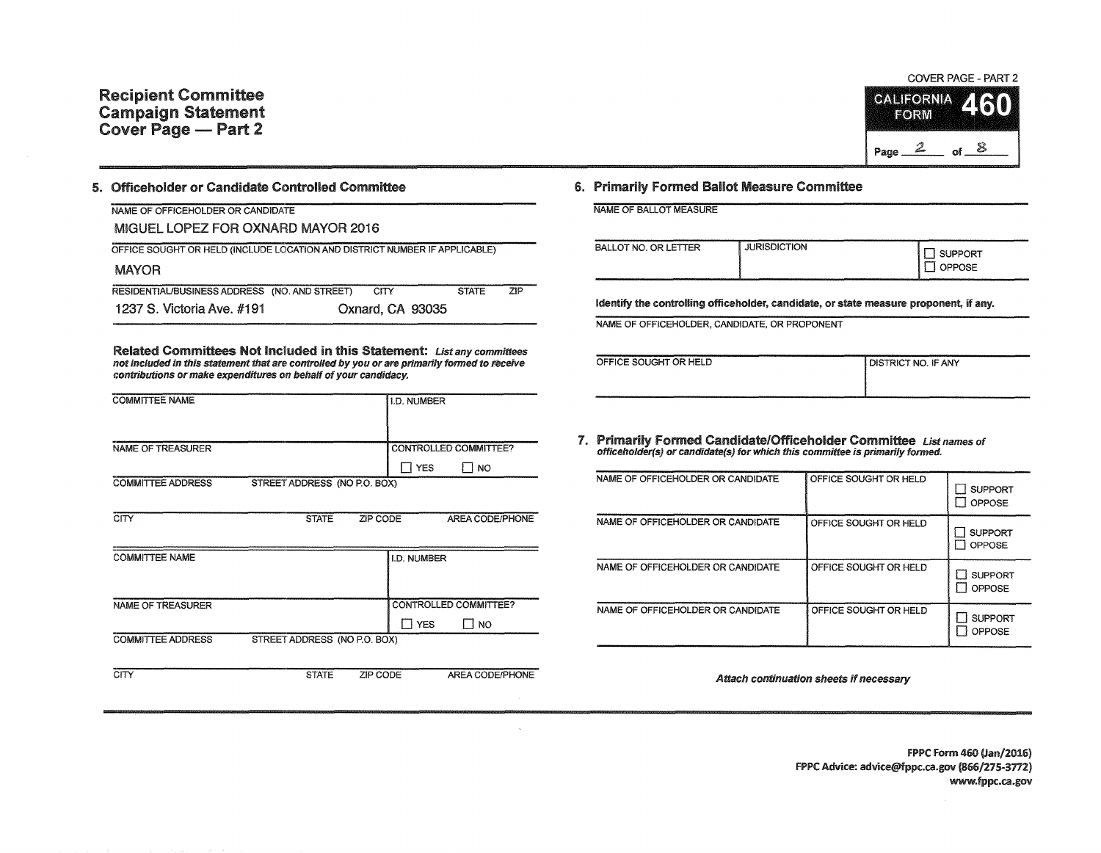

## 5. Officeholder or Candidate Controlled Committee

| NAME OF OFFICEHOLDER OR CANDIDATE                                          |                  |              |     |  |  |  |  |
|----------------------------------------------------------------------------|------------------|--------------|-----|--|--|--|--|
| MIGUEL LOPEZ FOR OXNARD MAYOR 2016                                         |                  |              |     |  |  |  |  |
| OFFICE SOUGHT OR HELD (INCLUDE LOCATION AND DISTRICT NUMBER IF APPLICABLE) |                  |              |     |  |  |  |  |
| <b>MAYOR</b>                                                               |                  |              |     |  |  |  |  |
| RESIDENTIAL/BUSINESS ADDRESS (NO. AND STREET)                              | <b>CITY</b>      | <b>STATE</b> | 7IP |  |  |  |  |
| 1237 S. Victoria Ave. #191                                                 | Oxnard, CA 93035 |              |     |  |  |  |  |

Related Committees Not Included in this Statement: List any committees not included in this statement that are controlled by you or are primarily formed to teceive contributions or make expenditures on behalf of your candidacy.

| <b>COMMITTEE NAME</b>    |                              |          | I.D. NUMBER        |                       |
|--------------------------|------------------------------|----------|--------------------|-----------------------|
|                          |                              |          |                    |                       |
| NAME OF TREASURER        |                              |          |                    | CONTROLLED COMMITTEE? |
|                          |                              |          | I TYES             | $\square$ NO          |
| <b>COMMITTEE ADDRESS</b> | STREET ADDRESS (NO P.O. BOX) |          |                    |                       |
|                          |                              |          |                    |                       |
| CITY                     | <b>STATE</b>                 | ZIP CODE |                    | AREA CODE/PHONE       |
|                          |                              |          |                    |                       |
| <b>COMMITTEE NAME</b>    |                              |          | <b>I.D. NUMBER</b> |                       |
|                          |                              |          |                    |                       |
|                          |                              |          |                    |                       |
| NAME OF TREASURER        |                              |          |                    | CONTROLLED COMMITTEE? |
|                          |                              |          | $\Box$ YES         | I I NO                |
| <b>COMMITTEE ADDRESS</b> | STREET ADDRESS (NO P.O. BOX) |          |                    |                       |
|                          |                              |          |                    |                       |
| <b>CITY</b>              | <b>STATE</b>                 | ZIP CODE |                    | AREA CODE/PHONE       |

## 6. Primarily Formed Ballot Measure Committee

NAME OF BALLOT MEASURE

| BALLOT NO. OR LETTER | <b>JURISDICTION</b> | <b>SUPPORT</b><br>OPPOSE |
|----------------------|---------------------|--------------------------|
|----------------------|---------------------|--------------------------|

ldentify the controlling officeholder, candidate, or state measure proponent, if any.

NAME OF OFFICEHOLDER, CANDIDATE, OR PROPONENT

| OFFICE SOUGHT OR HELD |  | I DISTRICT NO. IF ANY |  |
|-----------------------|--|-----------------------|--|
|                       |  |                       |  |

1. Primarily formed Candidate/Officeholder Committee List names of officeholder(s) or candidate(s) for which this committee is primarily formed.

| NAME OF OFFICEHOLDER OR CANDIDATE | OFFICE SOUGHT OR HELD | <b>SUPPORT</b><br>OPPOSE<br>- 1 |
|-----------------------------------|-----------------------|---------------------------------|
| NAME OF OFFICEHOLDER OR CANDIDATE | OFFICE SOUGHT OR HELD | <b>SUPPORT</b><br>OPPOSE        |
| NAME OF OFFICEHOLDER OR CANDIDATE | OFFICE SOUGHT OR HELD | <b>SUPPORT</b><br>OPPOSE        |
| NAME OF OFFICEHOLDER OR CANDIDATE | OFFICE SOUGHT OR HELD | <b>SUPPORT</b><br>OPPOSE        |

Attach continuation sheets if necessary

FPPC Form 460 (Jan/2016) FPPC Advice: advice@fppc.ca.gov (866/275-3772) www.fppc.ca.gov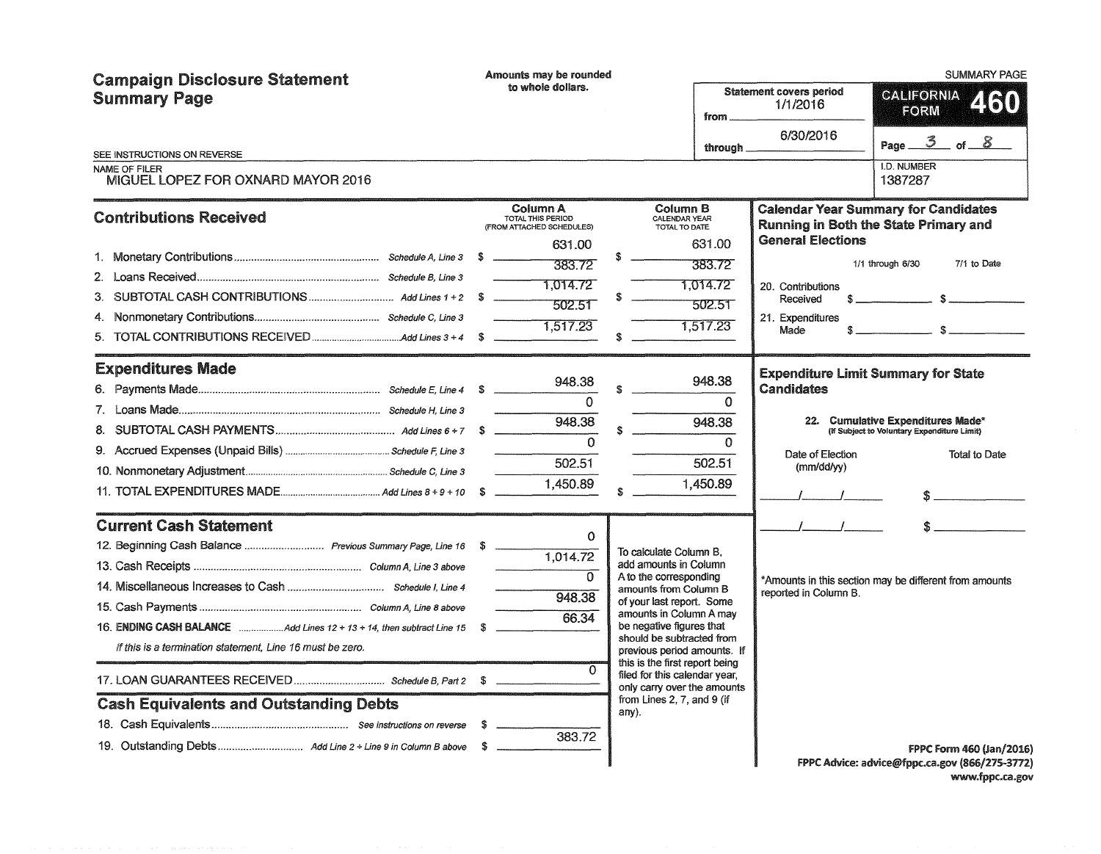| <b>Campaign Disclosure Statement</b>                                                                                                        | Amounts may be rounded                                                           |                                                                                                                                                                                                                                                                                                                                                                                             |                                                                                       | <b>SUMMARY PAGE</b>                                                                                                                                    |  |
|---------------------------------------------------------------------------------------------------------------------------------------------|----------------------------------------------------------------------------------|---------------------------------------------------------------------------------------------------------------------------------------------------------------------------------------------------------------------------------------------------------------------------------------------------------------------------------------------------------------------------------------------|---------------------------------------------------------------------------------------|--------------------------------------------------------------------------------------------------------------------------------------------------------|--|
| <b>Summary Page</b>                                                                                                                         | to whole dollars.                                                                | from $-$                                                                                                                                                                                                                                                                                                                                                                                    | <b>Statement covers period</b><br>1/1/2016                                            | <b>CALIFORNIA</b><br>460<br>FORM                                                                                                                       |  |
| SEE INSTRUCTIONS ON REVERSE                                                                                                                 |                                                                                  | through _                                                                                                                                                                                                                                                                                                                                                                                   | 6/30/2016                                                                             | $3$ of $8$<br>Page                                                                                                                                     |  |
| NAME OF FILER<br>MIGUEL LOPEZ FOR OXNARD MAYOR 2016                                                                                         |                                                                                  |                                                                                                                                                                                                                                                                                                                                                                                             |                                                                                       | <b>I.D. NUMBER</b><br>1387287                                                                                                                          |  |
| <b>Contributions Received</b>                                                                                                               | Column A<br>TOTAL THIS PERIOD<br>(FROM ATTACHED SCHEDULES)                       | Column B<br>CALENDAR YEAR<br>TOTAL TO DATE                                                                                                                                                                                                                                                                                                                                                  |                                                                                       | <b>Calendar Year Summary for Candidates</b><br>Running in Both the State Primary and                                                                   |  |
| 3.<br>4.                                                                                                                                    | 631.00<br>\$<br>383.72<br>1.014.72<br>502.51<br>1,517.23                         | 631.00<br>383.72<br>1.014.72<br>502.51<br>1,517.23                                                                                                                                                                                                                                                                                                                                          | <b>General Elections</b><br>20. Contributions<br>Received<br>21. Expenditures<br>Made | 7/1 to Date<br>1/1 through 6/30<br>$s \sim s$<br>$s$ $s$                                                                                               |  |
| <b>Expenditures Made</b>                                                                                                                    | 948.38<br>$\Omega$<br>948.38<br>$\Omega$<br>502.51<br>1,450.89                   | 948.38<br>$\Omega$<br>948.38<br>$\Omega$<br>502.51<br>1,450.89                                                                                                                                                                                                                                                                                                                              | Candidates<br>Date of Election<br>(mm/dd/yy)                                          | <b>Expenditure Limit Summary for State</b><br>22. Cumulative Expenditures Made*<br>(If Subject to Voluntary Expenditure Limit)<br><b>Total to Date</b> |  |
| <b>Current Cash Statement</b><br>If this is a termination statement, Line 16 must be zero.<br><b>Cash Equivalents and Outstanding Debts</b> | $\Omega$<br>1,014.72<br>$\Omega$<br>948.38<br>66.34<br>- S<br>$\Omega$<br>383.72 | To calculate Column B.<br>add amounts in Column<br>A to the corresponding<br>amounts from Column B<br>of your last report. Some<br>amounts in Column A may<br>be negative figures that<br>should be subtracted from<br>previous period amounts. If<br>this is the first report being<br>filed for this calendar year,<br>only carry over the amounts<br>from Lines 2, 7, and 9 (if<br>any). | reported in Column B.                                                                 | *Amounts in this section may be different from amounts                                                                                                 |  |
|                                                                                                                                             |                                                                                  |                                                                                                                                                                                                                                                                                                                                                                                             |                                                                                       | <b>FPPC Form 460 (Jan/2016)</b><br>FPPC Advice: advice@fppc.ca.gov (866/275-3772)                                                                      |  |

FPPC Advice: advice@fppc.ca.gov (866/275-3772)

www.fppc.ca.gov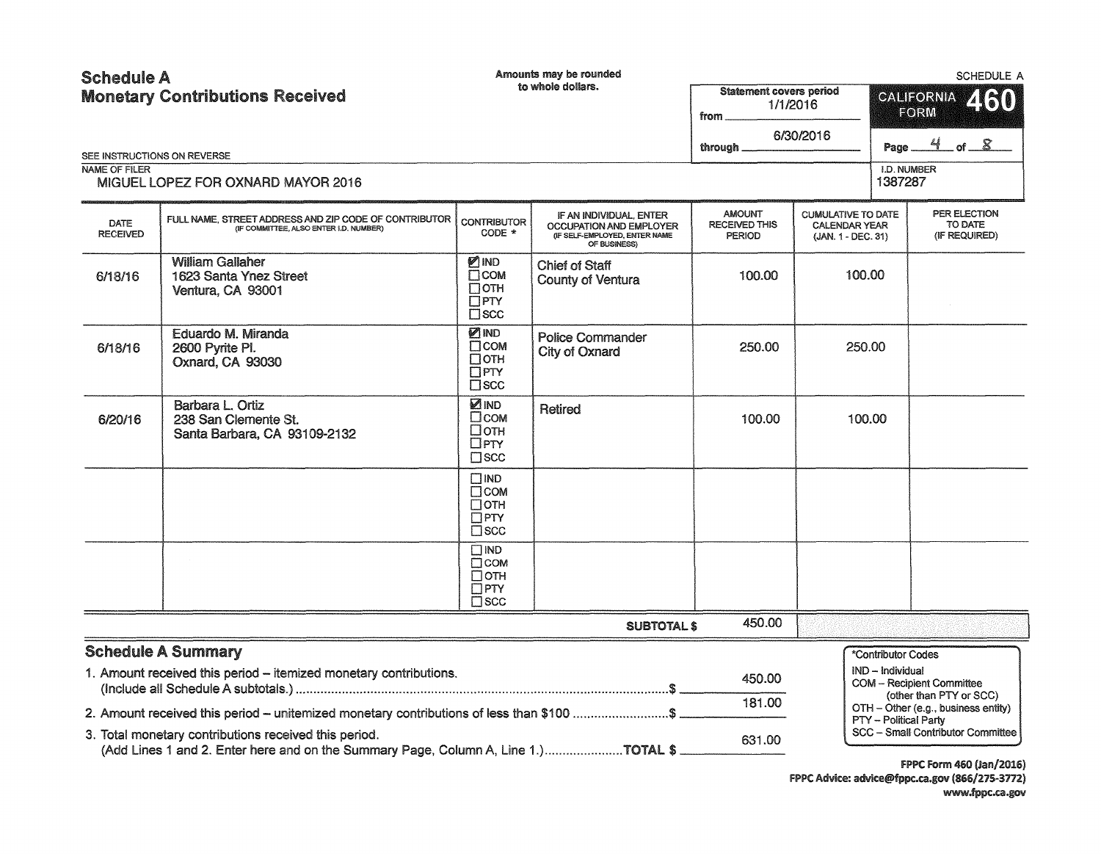| <b>Schedule A</b><br><b>Monetary Contributions Received</b>                                    |                                                                                                                                             |                                                                          | Amounts may be rounded<br>to whole dollars.                                                         | <b>Statement covers period</b><br>from $\overline{\phantom{a}}$ | 1/1/2016                                                                | <b>SCHEDULE A</b><br><b>CALIFORNIA</b><br>2160<br>FORM |                                                                      |  |
|------------------------------------------------------------------------------------------------|---------------------------------------------------------------------------------------------------------------------------------------------|--------------------------------------------------------------------------|-----------------------------------------------------------------------------------------------------|-----------------------------------------------------------------|-------------------------------------------------------------------------|--------------------------------------------------------|----------------------------------------------------------------------|--|
| SEE INSTRUCTIONS ON REVERSE                                                                    |                                                                                                                                             |                                                                          |                                                                                                     | through _                                                       | 6/30/2016                                                               | Page                                                   | of $8$                                                               |  |
| <b>NAME OF FILER</b>                                                                           | MIGUEL LOPEZ FOR OXNARD MAYOR 2016                                                                                                          |                                                                          |                                                                                                     |                                                                 |                                                                         | I.D. NUMBER<br>1387287                                 |                                                                      |  |
| DATE<br><b>RECEIVED</b>                                                                        | FULL NAME, STREET ADDRESS AND ZIP CODE OF CONTRIBUTOR<br>(IF COMMITTEE, ALSO ENTER I.D. NUMBER)                                             | <b>CONTRIBUTOR</b><br>CODE *                                             | IF AN INDIVIDUAL, ENTER<br>OCCUPATION AND EMPLOYER<br>(IF SELF-EMPLOYED, ENTER NAME<br>OF BUSINESS) | <b>AMOUNT</b><br><b>RECEIVED THIS</b><br><b>PERIOD</b>          | <b>CUMULATIVE TO DATE</b><br><b>CALENDAR YEAR</b><br>(JAN. 1 - DEC. 31) |                                                        | PER ELECTION<br>TO DATE<br>(IF REQUIRED)                             |  |
| 6/18/16                                                                                        | <b>William Gallaher</b><br>1623 Santa Ynez Street<br>Ventura, CA 93001                                                                      | ิ∕2 IND<br>$\square$ COM<br>$\Box$ отн<br>$\Box$ PTY<br>$\square$ scc    | <b>Chief of Staff</b><br><b>County of Ventura</b>                                                   | 100.00                                                          | 100.00                                                                  |                                                        |                                                                      |  |
| 6/18/16                                                                                        | Eduardo M. Miranda<br>2600 Pyrite PI.<br>Oxnard, CA 93030                                                                                   | <b>MIND</b><br>$\Box$ COM<br>$\Box$ OTH<br>$\Box$ PTY<br>$\square$ scc   | <b>Police Commander</b><br>City of Oxnard                                                           | 250.00                                                          | 250.00                                                                  |                                                        |                                                                      |  |
| 6/20/16                                                                                        | Barbara L. Ortiz<br>238 San Clemente St.<br>Santa Barbara, CA 93109-2132                                                                    | <b>ZIND</b><br>$\square$ COM<br>□отн<br>$\Box$ PTY<br>$\square$ scc      | Retired                                                                                             | 100.00                                                          | 100.00                                                                  |                                                        |                                                                      |  |
|                                                                                                |                                                                                                                                             | $\square$ IND<br>$\Box$ COM<br>$\Box$ OTH<br>$\Box$ PTY<br>$\square$ scc |                                                                                                     |                                                                 |                                                                         |                                                        |                                                                      |  |
|                                                                                                |                                                                                                                                             | <b>TIND</b><br>$\Box$ COM<br>Потн<br>$\Box$ PTY<br>$\square$ SCC         |                                                                                                     |                                                                 |                                                                         |                                                        |                                                                      |  |
|                                                                                                |                                                                                                                                             |                                                                          | <b>SUBTOTAL \$</b>                                                                                  | 450.00                                                          |                                                                         |                                                        |                                                                      |  |
| <b>Schedule A Summary</b><br>1. Amount received this period - itemized monetary contributions. |                                                                                                                                             |                                                                          |                                                                                                     |                                                                 |                                                                         | *Contributor Codes<br>IND - Individual                 | COM - Recipient Committee<br>(other than PTY or SCC)                 |  |
|                                                                                                | 2. Amount received this period – unitemized monetary contributions of less than \$100 \$                                                    |                                                                          |                                                                                                     | 181.00                                                          | OTH - Other (e.g., business entity)<br><b>PTY</b> - Political Party     |                                                        |                                                                      |  |
|                                                                                                | 3. Total monetary contributions received this period.<br>(Add Lines 1 and 2. Enter here and on the Summary Page, Column A, Line 1.)TOTAL \$ |                                                                          |                                                                                                     | 631.00                                                          |                                                                         |                                                        | SCC - Small Contributor Committee<br><b>FPPC Form 460 (Jan/2016)</b> |  |

FPPC Advice: advice@fppc.ca.gov (866/275-3772) www.fppc.ca.gov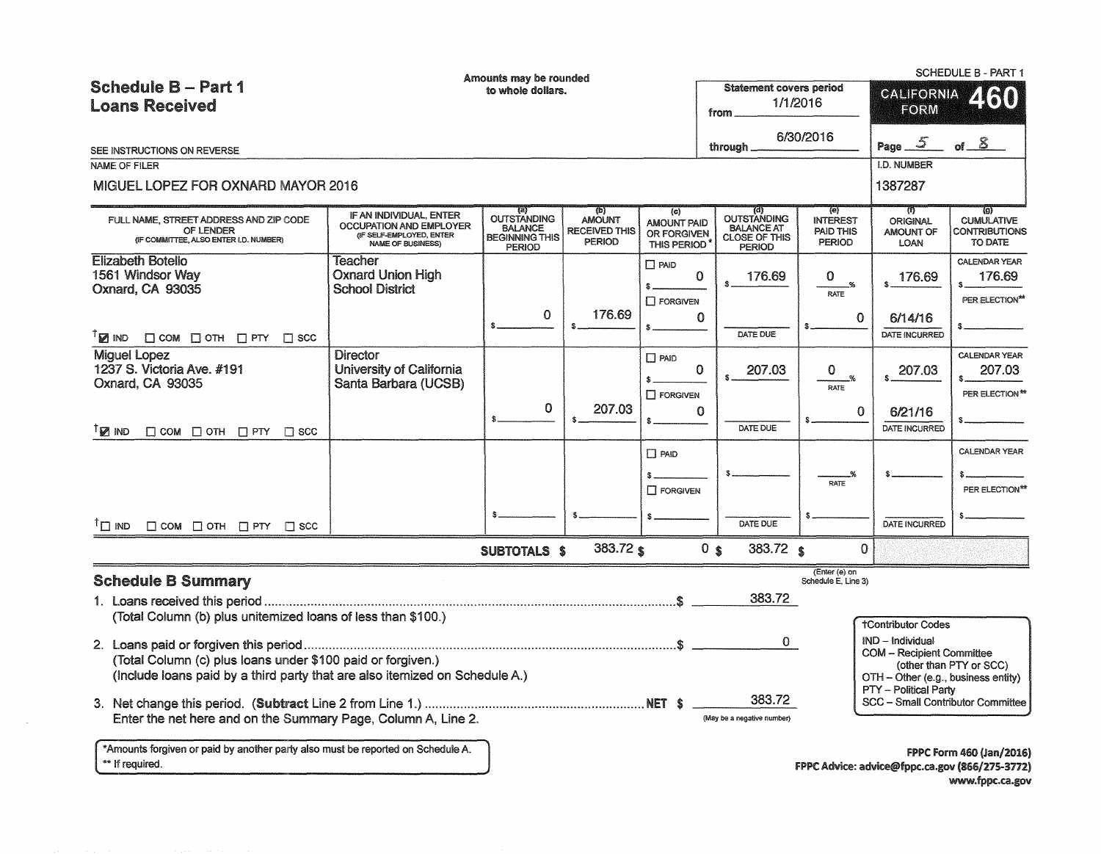| <b>Schedule B - Part 1</b>                                                                                                                                                                                  | Amounts may be rounded                                                                                     |                                                                                |                                                               |                                                         |                                                                           | <b>SCHEDULE B - PART 1</b>                           |                                                                                                                                                   |                                                                                   |
|-------------------------------------------------------------------------------------------------------------------------------------------------------------------------------------------------------------|------------------------------------------------------------------------------------------------------------|--------------------------------------------------------------------------------|---------------------------------------------------------------|---------------------------------------------------------|---------------------------------------------------------------------------|------------------------------------------------------|---------------------------------------------------------------------------------------------------------------------------------------------------|-----------------------------------------------------------------------------------|
| <b>Loans Received</b>                                                                                                                                                                                       | <b>Statement covers period</b><br>to whole dollars.<br>1/1/2016<br>from.                                   |                                                                                |                                                               |                                                         |                                                                           | <b>CALIFORNIA</b><br>EORM                            |                                                                                                                                                   |                                                                                   |
| SEE INSTRUCTIONS ON REVERSE                                                                                                                                                                                 |                                                                                                            |                                                                                |                                                               |                                                         | through                                                                   | 6/30/2016                                            | $\mathcal{L}$<br>Page _                                                                                                                           | S<br>of.                                                                          |
| <b>NAME OF FILER</b>                                                                                                                                                                                        |                                                                                                            |                                                                                |                                                               |                                                         |                                                                           |                                                      | I.D. NUMBER                                                                                                                                       |                                                                                   |
| MIGUEL LOPEZ FOR OXNARD MAYOR 2016                                                                                                                                                                          |                                                                                                            |                                                                                |                                                               |                                                         |                                                                           |                                                      | 1387287                                                                                                                                           |                                                                                   |
| FULL NAME, STREET ADDRESS AND ZIP CODE<br>OF LENDER<br>(IF COMMITTEE, ALSO ENTER I.D. NUMBER)                                                                                                               | IF AN INDIVIDUAL, ENTER<br>OCCUPATION AND EMPLOYER<br>(IF SELF-EMPLOYED, ENTER<br><b>NAME OF BUSINESS)</b> | (a)<br>OUTSTANDING<br><b>BALANCE</b><br><b>BEGINNING THIS</b><br><b>PERIOD</b> | 76)<br><b>AMOUNT</b><br><b>RECEIVED THIS</b><br><b>PERIOD</b> | (c)<br><b>AMOUNT PAID</b><br>OR FORGIVEN<br>THIS PERIOD | OUTSTANDING<br><b>BALANCE AT</b><br><b>CLOSE OF THIS</b><br><b>PERIOD</b> | ভ্য<br><b>INTEREST</b><br><b>PAID THIS</b><br>PERIOD | īΠ<br><b>ORIGINAL</b><br>AMOUNT OF<br>LOAN                                                                                                        | ัด)<br><b>CUMULATIVE</b><br><b>CONTRIBUTIONS</b><br>TO DATE                       |
| <b>Elizabeth Botello</b><br>1561 Windsor Way<br>Oxnard, CA 93035                                                                                                                                            | Teacher<br><b>Oxnard Union High</b><br><b>School District</b>                                              |                                                                                |                                                               | $\Box$ Paid<br>\$_                                      | $\mathbf 0$<br>176.69                                                     | $\Omega$<br>RATE                                     | 176.69                                                                                                                                            | <b>CALENDAR YEAR</b><br>176.69                                                    |
| <b>DI IND</b><br>$\Box$ COM $\Box$ OTH $\Box$ PTY<br>$\Box$ scc                                                                                                                                             |                                                                                                            | $\mathbf 0$                                                                    | 176.69                                                        | $\Box$ FORGIVEN                                         | 0<br>DATE DUE                                                             | 0                                                    | 6/14/16<br>DATE INCURRED                                                                                                                          | PER ELECTION <sup>#4</sup>                                                        |
| <b>Miguel Lopez</b><br>1237 S. Victoria Ave. #191<br>Oxnard, CA 93035                                                                                                                                       | <b>Director</b><br>University of California<br>Santa Barbara (UCSB)                                        |                                                                                |                                                               | $\Box$ PAID<br>\$.<br>$\square$ FORGIVEN                | $\mathbf 0$<br>207.03                                                     | 0<br><b>RATE</b>                                     | 207.03                                                                                                                                            | <b>CALENDAR YEAR</b><br>207.03<br>PER ELECTION <sup>**</sup>                      |
| <sup>T</sup> ⊠ IND<br>$\Box$ COM $\Box$ OTH $\Box$ PTY<br>$\Box$ scc                                                                                                                                        |                                                                                                            | 0<br>\$.                                                                       | 207.03                                                        |                                                         | $\Omega$<br>DATE DUE                                                      | $\Omega$                                             | 6/21/16<br>DATE INCURRED                                                                                                                          |                                                                                   |
|                                                                                                                                                                                                             |                                                                                                            |                                                                                |                                                               | <b>T</b> PAID<br>$$ -$<br><b>TT</b> FORGIVEN            |                                                                           | RATE                                                 |                                                                                                                                                   | <b>CALENDAR YEAR</b><br>PER ELECTION**                                            |
| ™ ⊡ <sup>1</sup><br>$\Box$ COM $\Box$ OTH $\Box$ PTY $\Box$ SCC                                                                                                                                             |                                                                                                            |                                                                                |                                                               |                                                         | DATE DUE                                                                  |                                                      | DATE INCURRED                                                                                                                                     |                                                                                   |
|                                                                                                                                                                                                             |                                                                                                            | SUBTOTALS \$                                                                   | 383.72 \$                                                     |                                                         | 0 <sub>s</sub><br>383.72 \$                                               | $\Omega$                                             |                                                                                                                                                   |                                                                                   |
| <b>Schedule B Summary</b>                                                                                                                                                                                   |                                                                                                            |                                                                                |                                                               |                                                         |                                                                           | (Enter (e) on<br>Schedule E. Line 3)                 |                                                                                                                                                   |                                                                                   |
| (Total Column (b) plus unitemized loans of less than \$100.)                                                                                                                                                |                                                                                                            |                                                                                |                                                               |                                                         | 383.72                                                                    |                                                      |                                                                                                                                                   |                                                                                   |
| (Total Column (c) plus loans under \$100 paid or forgiven.)<br>(Include loans paid by a third party that are also itemized on Schedule A.)<br>Enter the net here and on the Summary Page, Column A, Line 2. |                                                                                                            |                                                                                |                                                               |                                                         | 0<br>383.72<br>(May be a negative number)                                 |                                                      | <b>†Contributor Codes</b><br>IND - Individual<br><b>COM - Recipient Committee</b><br>OTH - Other (e.g., business entity)<br>PTY - Political Party | (other than PTY or SCC)<br>SCC - Small Contributor Committee                      |
| *Amounts forgiven or paid by another party also must be reported on Schedule A.<br>** If required.                                                                                                          |                                                                                                            |                                                                                |                                                               |                                                         |                                                                           |                                                      |                                                                                                                                                   | <b>FPPC Form 460 (Jan/2016)</b><br>FPPC Advice: advice@fppc.ca.gov (866/275-3772) |

 $\sim$ 

www.fppc.ca.gov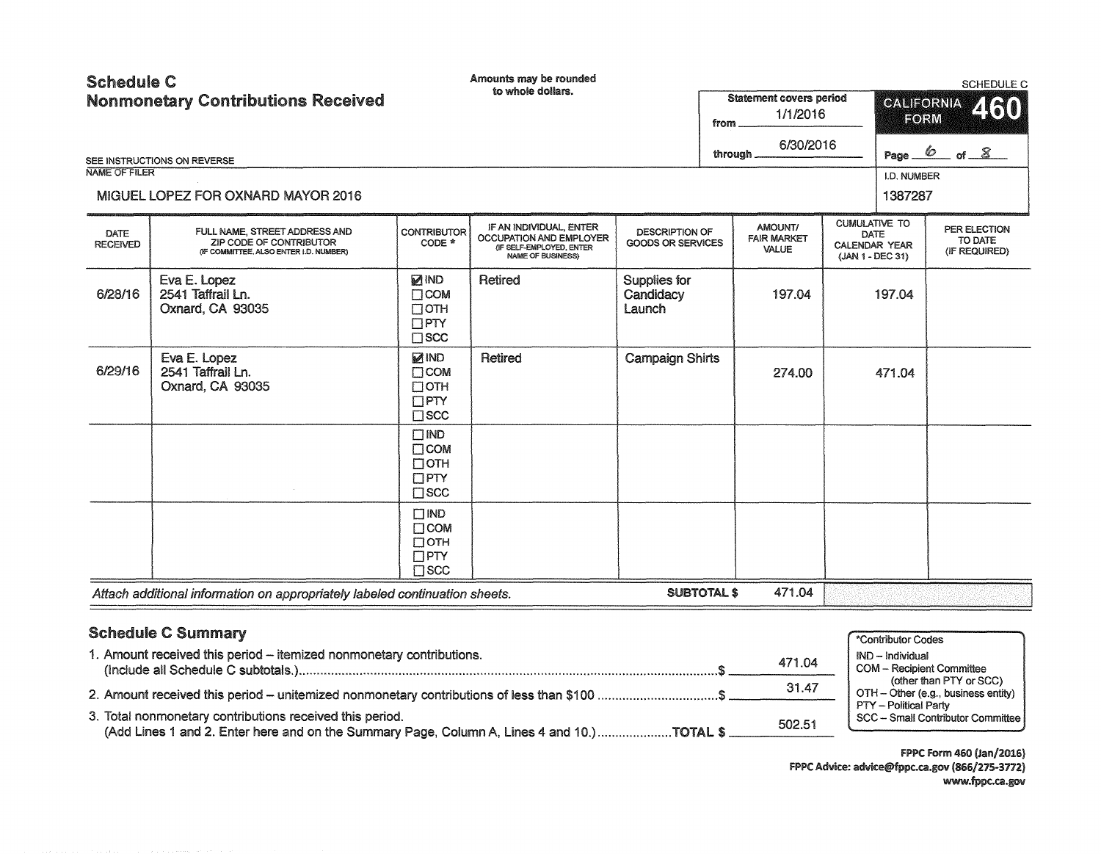| <b>Schedule C</b><br><b>Nonmonetary Contributions Received</b> |                                                                                                    | Amounts may be rounded<br>to whole dollars.                                 |                                                                                                            |                                                   | <b>Statement covers period</b><br>1/1/2016<br>from. |                                        |                                                                | SCHEDULE C<br><b>CALIFORNIA</b><br>460<br><b>HORM</b>                           |                                          |  |
|----------------------------------------------------------------|----------------------------------------------------------------------------------------------------|-----------------------------------------------------------------------------|------------------------------------------------------------------------------------------------------------|---------------------------------------------------|-----------------------------------------------------|----------------------------------------|----------------------------------------------------------------|---------------------------------------------------------------------------------|------------------------------------------|--|
|                                                                | SEE INSTRUCTIONS ON REVERSE                                                                        |                                                                             |                                                                                                            |                                                   | through                                             | 6/30/2016                              |                                                                | Page.                                                                           | 6<br>$-$ of $ \mathcal{S}$               |  |
| NAME OF FILER                                                  |                                                                                                    |                                                                             |                                                                                                            |                                                   |                                                     |                                        |                                                                | I.D. NUMBER                                                                     |                                          |  |
|                                                                | MIGUEL LOPEZ FOR OXNARD MAYOR 2016                                                                 |                                                                             |                                                                                                            |                                                   |                                                     |                                        |                                                                | 1387287                                                                         |                                          |  |
| <b>DATE</b><br><b>RECEIVED</b>                                 | FULL NAME, STREET ADDRESS AND<br>ZIP CODE OF CONTRIBUTOR<br>(IF COMMITTEE, ALSO ENTER I.D. NUMBER) | <b>CONTRIBUTOR</b><br>CODE *                                                | IF AN INDIVIDUAL, ENTER<br>OCCUPATION AND EMPLOYER<br>(IF SELF-EMPLOYED, ENTER<br><b>NAME OF BUSINESS)</b> | <b>DESCRIPTION OF</b><br><b>GOODS OR SERVICES</b> |                                                     | AMOUNT/<br><b>FAIR MARKET</b><br>VALUE |                                                                | <b>CUMULATIVE TO</b><br><b>DATE</b><br><b>CALENDAR YEAR</b><br>(JAN 1 - DEC 31) | PER ELECTION<br>TO DATE<br>(IF REQUIRED) |  |
| 6/28/16                                                        | Eva E. Lopez<br>2541 Taffrail Ln.<br>Oxnard, CA 93035                                              | <b>MIND</b><br>$\Box$ COM<br>$\Box$ OTH<br>$\Box$ PTY<br>$\square$ SCC      | <b>Retired</b>                                                                                             | Supplies for<br>Candidacy<br>Launch               |                                                     | 197.04                                 |                                                                | 197.04                                                                          |                                          |  |
| 6/29/16                                                        | Eva E. Lopez<br>2541 Taffrail Ln.<br>Oxnard, CA 93035                                              | <b>MIND</b><br>$\Box$ COM<br>$\Box$ OTH<br>$\Box$ PTY<br>$\square$ SCC      | Retired                                                                                                    | <b>Campaign Shirts</b>                            |                                                     | 274.00                                 |                                                                | 471.04                                                                          |                                          |  |
|                                                                |                                                                                                    | $\square$ IND<br>$\Box$ COM<br>$\Box$ OTH<br>$\square$ PTY<br>$\square$ SCC |                                                                                                            |                                                   |                                                     |                                        |                                                                |                                                                                 |                                          |  |
|                                                                |                                                                                                    | $\Box$ IND<br>$\Box$ COM<br>$\Box$ OTH<br>$\Box$ PTY<br>$\square$ SCC       |                                                                                                            |                                                   |                                                     |                                        |                                                                |                                                                                 |                                          |  |
|                                                                | Attach additional information on appropriately labeled continuation sheets.                        |                                                                             |                                                                                                            | <b>SUBTOTAL \$</b>                                |                                                     | 471.04                                 |                                                                |                                                                                 |                                          |  |
|                                                                | <b>Schedule C Summary</b><br>1. Amount received this period - itemized nonmonetary contributions.  |                                                                             |                                                                                                            |                                                   |                                                     | 471.04                                 |                                                                | *Contributor Codes<br>IND - Individual                                          | <b>COM</b> - Recipient Committee         |  |
|                                                                |                                                                                                    |                                                                             |                                                                                                            |                                                   |                                                     | 31.47                                  | (other than PTY or SCC)<br>OTH - Other (e.g., business entity) |                                                                                 |                                          |  |
|                                                                | 3. Total nonmonetary contributions received this period.                                           |                                                                             |                                                                                                            |                                                   |                                                     | EOO FA                                 |                                                                | <b>PTY</b> - Political Party                                                    | SCC - Small Contributor Committee        |  |

3. Total nonmonetary contributions received this period.<br>602.51 (Add Lines 1 and 2. Enter here and on the Summary Page, Column A, Lines 4 and 10.) .................... TOTAL \$

FPPC Form 460 (Jan/2016) FPPC Advice: advice@fppc.ca.gov (866/275-3772) www.fppc.ca.gov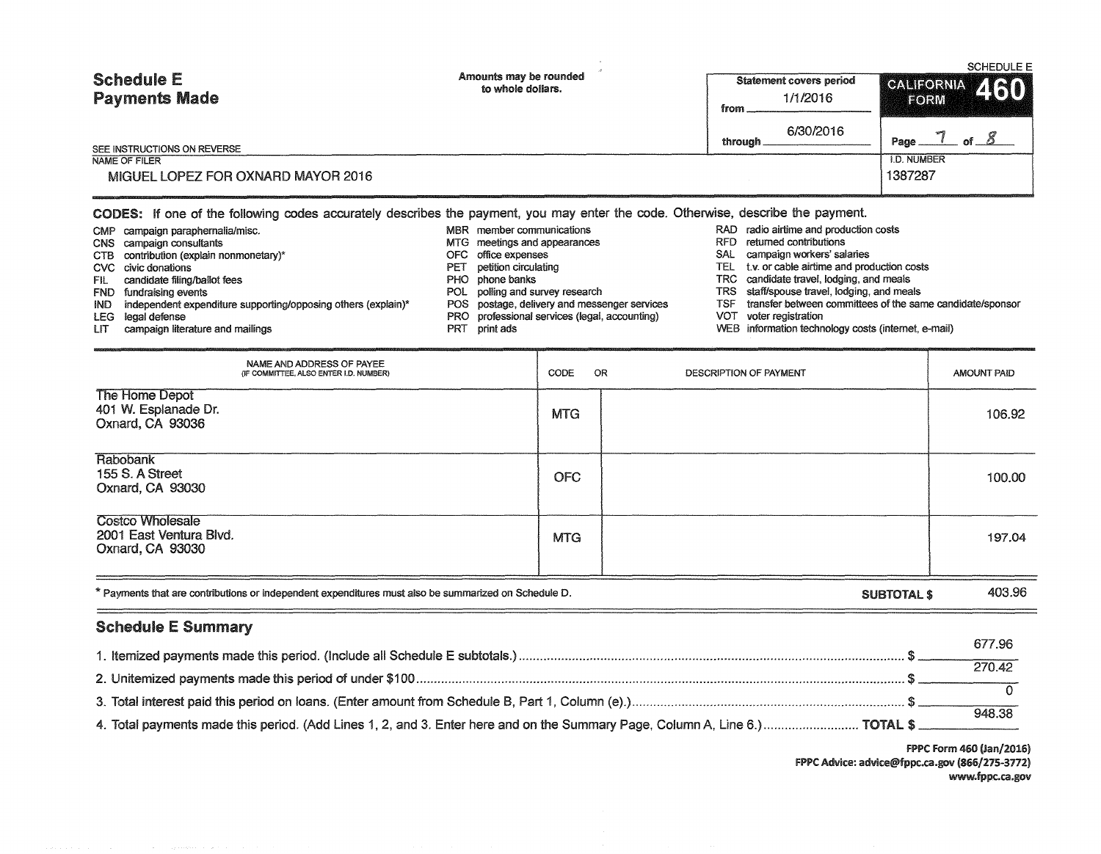| <b>Schedule E</b><br><b>Payments Made</b><br>SEE INSTRUCTIONS ON REVERSE | Amounts may be rounded<br>to whole dollars. |  | <b>SCHEDULE E</b><br>460<br>CALIFORNIA<br>EORM<br>Page.<br>of __ |
|--------------------------------------------------------------------------|---------------------------------------------|--|------------------------------------------------------------------|
| NAME OF FILER<br>MIGUEL LOPEZ FOR OXNARD MAYOR 2016                      |                                             |  | <b>I.D. NUMBER</b><br>1387287                                    |

## CODES: If one of the following codes accurately describes the payment, you may enter the code. Otherwise, describe the payment.

- CMP campaign paraphernalia/misc. <br>CMS campaign consultants (CMS campaign consultants) CMS campaign consultants and production costs extending to
	-
- CNS campaign consultants (CNS campaign consultants and meetings and appearances and appearances contributions<br>CTB contribution (explain nonmonetary)\* CTC office expenses contributions contributions contributions contributi
- explain (explain nonmonetary)\* The office expenses CVC civic donations<br>CVC civic donations campaign workerstanding workerstanding expenses
	-
	-
	-
	-
- LEG legal defense **PRO** professional services (legal, accounting)
- UT campaign literature and mailings PRT print ads WEB information technology costs (internet, e-mail)
- 
- 
- 
- PET petition circulating example TEL t.v. or cable airtime and production costs<br>PHO phone banks PHO phone airson contract travel, lodging, and meals
- FIL candidate filing/ballot fees example and the phone banks PHO phone banks TRC candidate travel, lodging, and meals<br>POL polling and survey research TRS staff/spouse travel, lodging, and meal
- FND fundraising events **POL polling and survey research** TRS staff/spouse travel, lodging, and meals
- IND independent expenditure supporting/opposing others (explain)\* POS postage, delivery and messenger services TSF transfer between committees of the same candidate/sponsor<br>LEG legal defense expenditure supporting/opposing
	-
- NAME AND ADDRESS OF PAYEE (IF COMMITTEE, ALSO ENTER I.D. NUMBER) CODE OR DESCRIPTION OF PAYMENT AMOUNT PAID The Home Depot<br>401 W. Esplanade Dr. <sup>401</sup>W. Esplanade Dr. MTG 106.92 Oxnard, CA <sup>93036</sup> **Rabobank** 155 S. A Street 100.00 Oxnard, CA 93030 **Costco Wholesale** 2001 East Ventura Blvd. 197.04 and the state of the state of the state of the state of the state of the state of the state of the state of the state of the state of the state of the state of the state of the state of the s Oxnard, CA 93030 \* Payments that are contributions or independent expenditures must also be summarized on Schedule D. Summarized on Schedule D.

## Schedule E Summary

|                                                                                                                             | 677.96 |
|-----------------------------------------------------------------------------------------------------------------------------|--------|
|                                                                                                                             | 270.42 |
|                                                                                                                             |        |
|                                                                                                                             |        |
| 4. Total payments made this period. (Add Lines 1, 2, and 3. Enter here and on the Summary Page, Column A, Line 6.) TOTAL \$ | 948.38 |

FPPC Form 460 (Jan/2016) FPPC Advice: advice@fppc.ca.gov (866/275-3772) www.fppc.ca.gov